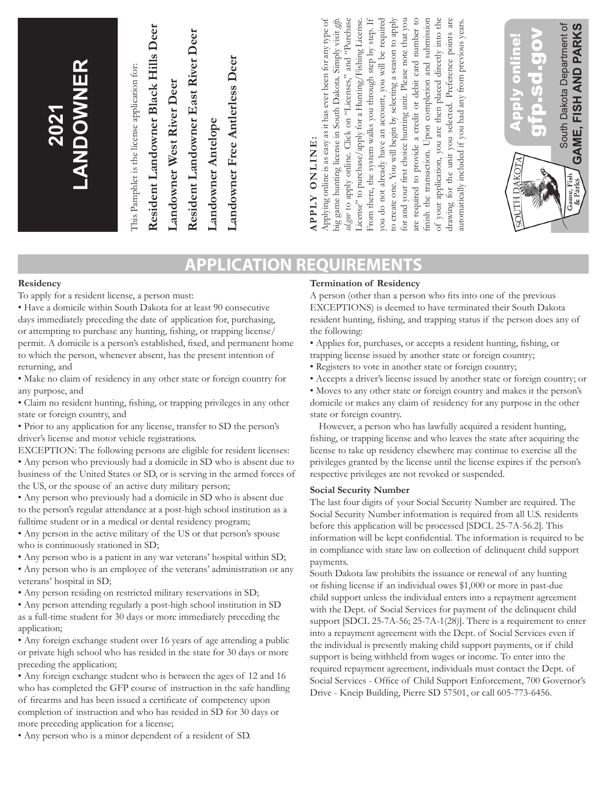| for and your first choice hunting unit. Please note that you<br>finish the transaction. Upon completion and submission<br>to create one. You will begin by selecting a season to apply<br>are required to provide a credit or debit card number to<br>of your application, you are then placed directly into the<br>apply online. Click on "Licenses," and "Purchase<br>From there, the system walks you through step by step. If<br>you do not already have an account, you will be required<br>are<br>Applying online is as easy as it has ever been for any type of<br>big game hunting license in South Dakota. Simply visit gh<br>License" to purchase/apply for a Hunting/Fishing License.<br>drawing for the unit you selected. Preference points are<br>automatically included if you had any from previous years.<br>South Dakota Department of<br>FISH AND PARKS<br>Resident Landowner Black Hills Deer<br>Resident Landowner East River Deer<br>Apply online!<br><u>orp-scho</u><br>Landowner Free Antierless Deer<br><b>LANDOWNER</b><br>This Pamphlet is the license application for:<br>Landowner West River Deer<br>2021<br>Landowner Antelope<br>GAME,<br>APPLY ONLINE:<br>KOTA<br>$\mathscr{E}_{\mathbb{Z}}$<br>Game, Fish<br>& Parks<br>JUTH D<br>sd.gov to |
|-------------------------------------------------------------------------------------------------------------------------------------------------------------------------------------------------------------------------------------------------------------------------------------------------------------------------------------------------------------------------------------------------------------------------------------------------------------------------------------------------------------------------------------------------------------------------------------------------------------------------------------------------------------------------------------------------------------------------------------------------------------------------------------------------------------------------------------------------------------------------------------------------------------------------------------------------------------------------------------------------------------------------------------------------------------------------------------------------------------------------------------------------------------------------------------------------------------------------------------------------------------------------------|
|-------------------------------------------------------------------------------------------------------------------------------------------------------------------------------------------------------------------------------------------------------------------------------------------------------------------------------------------------------------------------------------------------------------------------------------------------------------------------------------------------------------------------------------------------------------------------------------------------------------------------------------------------------------------------------------------------------------------------------------------------------------------------------------------------------------------------------------------------------------------------------------------------------------------------------------------------------------------------------------------------------------------------------------------------------------------------------------------------------------------------------------------------------------------------------------------------------------------------------------------------------------------------------|

## **APPLICATION REQUIREMENTS**

#### **Residency**

To apply for a resident license, a person must:

• Have a domicile within South Dakota for at least 90 consecutive days immediately preceding the date of application for, purchasing, or attempting to purchase any hunting, fishing, or trapping license/ permit. A domicile is a person's established, fixed, and permanent home to which the person, whenever absent, has the present intention of returning, and

• Make no claim of residency in any other state or foreign country for any purpose, and

• Claim no resident hunting, fishing, or trapping privileges in any other state or foreign country, and

• Prior to any application for any license, transfer to SD the person's driver's license and motor vehicle registrations.

EXCEPTION: The following persons are eligible for resident licenses:

• Any person who previously had a domicile in SD who is absent due to business of the United States or SD, or is serving in the armed forces of the US, or the spouse of an active duty military person;

• Any person who previously had a domicile in SD who is absent due to the person's regular attendance at a post-high school institution as a fulltime student or in a medical or dental residency program;

• Any person in the active military of the US or that person's spouse who is continuously stationed in SD;

• Any person who is a patient in any war veterans' hospital within SD;

• Any person who is an employee of the veterans' administration or any veterans' hospital in SD;

• Any person residing on restricted military reservations in SD;

• Any person attending regularly a post-high school institution in SD as a full-time student for 30 days or more immediately preceding the application;

• Any foreign exchange student over 16 years of age attending a public or private high school who has resided in the state for 30 days or more preceding the application;

• Any foreign exchange student who is between the ages of 12 and 16 who has completed the GFP course of instruction in the safe handling of firearms and has been issued a certificate of competency upon completion of instruction and who has resided in SD for 30 days or more preceding application for a license;

• Any person who is a minor dependent of a resident of SD.

#### **Termination of Residency**

A person (other than a person who fits into one of the previous EXCEPTIONS) is deemed to have terminated their South Dakota resident hunting, fishing, and trapping status if the person does any of the following:

• Applies for, purchases, or accepts a resident hunting, fishing, or trapping license issued by another state or foreign country;

• Registers to vote in another state or foreign country;

• Accepts a driver's license issued by another state or foreign country; or

• Moves to any other state or foreign country and makes it the person's domicile or makes any claim of residency for any purpose in the other state or foreign country.

However, a person who has lawfully acquired a resident hunting, fishing, or trapping license and who leaves the state after acquiring the license to take up residency elsewhere may continue to exercise all the privileges granted by the license until the license expires if the person's respective privileges are not revoked or suspended.

#### **Social Security Number**

The last four digits of your Social Security Number are required. The Social Security Number information is required from all U.S. residents before this application will be processed [SDCL 25-7A-56.2]. This information will be kept confidential. The information is required to be in compliance with state law on collection of delinquent child support payments.

South Dakota law prohibits the issuance or renewal of any hunting or fishing license if an individual owes \$1,000 or more in past-due child support unless the individual enters into a repayment agreement with the Dept. of Social Services for payment of the delinquent child support [SDCL 25-7A-56; 25-7A-1(28)]. There is a requirement to enter into a repayment agreement with the Dept. of Social Services even if the individual is presently making child support payments, or if child support is being withheld from wages or income. To enter into the required repayment agreement, individuals must contact the Dept. of Social Services - Office of Child Support Enforcement, 700 Governor's Drive - Kneip Building, Pierre SD 57501, or call 605-773-6456.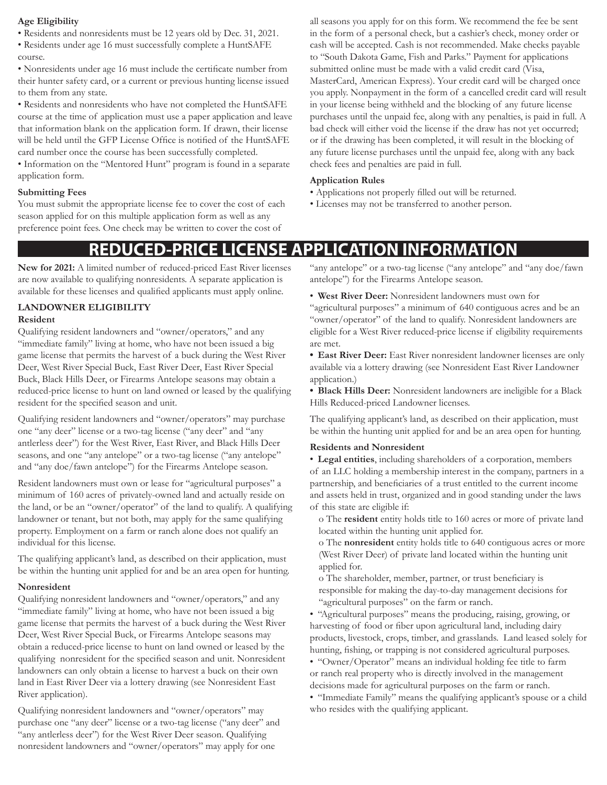#### **Age Eligibility**

- Residents and nonresidents must be 12 years old by Dec. 31, 2021.
- Residents under age 16 must successfully complete a HuntSAFE course.

• Nonresidents under age 16 must include the certificate number from their hunter safety card, or a current or previous hunting license issued to them from any state.

• Residents and nonresidents who have not completed the HuntSAFE course at the time of application must use a paper application and leave that information blank on the application form. If drawn, their license will be held until the GFP License Office is notified of the HuntSAFE card number once the course has been successfully completed. • Information on the "Mentored Hunt" program is found in a separate application form.

#### **Submitting Fees**

You must submit the appropriate license fee to cover the cost of each season applied for on this multiple application form as well as any preference point fees. One check may be written to cover the cost of

all seasons you apply for on this form. We recommend the fee be sent in the form of a personal check, but a cashier's check, money order or cash will be accepted. Cash is not recommended. Make checks payable to "South Dakota Game, Fish and Parks." Payment for applications submitted online must be made with a valid credit card (Visa, MasterCard, American Express). Your credit card will be charged once you apply. Nonpayment in the form of a cancelled credit card will result in your license being withheld and the blocking of any future license purchases until the unpaid fee, along with any penalties, is paid in full. A bad check will either void the license if the draw has not yet occurred; or if the drawing has been completed, it will result in the blocking of any future license purchases until the unpaid fee, along with any back check fees and penalties are paid in full.

#### **Application Rules**

- Applications not properly filled out will be returned.
- Licenses may not be transferred to another person.

## **REDUCED-PRICE LICENSE APPLICATION INFORMATION**

**New for 2021:** A limited number of reduced-priced East River licenses are now available to qualifying nonresidents. A separate application is available for these licenses and qualified applicants must apply online.

## **LANDOWNER ELIGIBILITY**

#### **Resident**

Qualifying resident landowners and "owner/operators," and any "immediate family" living at home, who have not been issued a big game license that permits the harvest of a buck during the West River Deer, West River Special Buck, East River Deer, East River Special Buck, Black Hills Deer, or Firearms Antelope seasons may obtain a reduced-price license to hunt on land owned or leased by the qualifying resident for the specified season and unit.

Qualifying resident landowners and "owner/operators" may purchase one "any deer" license or a two-tag license ("any deer" and "any antlerless deer") for the West River, East River, and Black Hills Deer seasons, and one "any antelope" or a two-tag license ("any antelope" and "any doe/fawn antelope") for the Firearms Antelope season.

Resident landowners must own or lease for "agricultural purposes" a minimum of 160 acres of privately-owned land and actually reside on the land, or be an "owner/operator" of the land to qualify. A qualifying landowner or tenant, but not both, may apply for the same qualifying property. Employment on a farm or ranch alone does not qualify an individual for this license.

The qualifying applicant's land, as described on their application, must be within the hunting unit applied for and be an area open for hunting.

#### **Nonresident**

Qualifying nonresident landowners and "owner/operators," and any "immediate family" living at home, who have not been issued a big game license that permits the harvest of a buck during the West River Deer, West River Special Buck, or Firearms Antelope seasons may obtain a reduced-price license to hunt on land owned or leased by the qualifying nonresident for the specified season and unit. Nonresident landowners can only obtain a license to harvest a buck on their own land in East River Deer via a lottery drawing (see Nonresident East River application).

Qualifying nonresident landowners and "owner/operators" may purchase one "any deer" license or a two-tag license ("any deer" and "any antlerless deer") for the West River Deer season. Qualifying nonresident landowners and "owner/operators" may apply for one

"any antelope" or a two-tag license ("any antelope" and "any doe/fawn antelope") for the Firearms Antelope season.

• **West River Deer:** Nonresident landowners must own for

"agricultural purposes" a minimum of 640 contiguous acres and be an "owner/operator" of the land to qualify. Nonresident landowners are eligible for a West River reduced-price license if eligibility requirements are met.

**• East River Deer:** East River nonresident landowner licenses are only available via a lottery drawing (see Nonresident East River Landowner application.)

**• Black Hills Deer:** Nonresident landowners are ineligible for a Black Hills Reduced-priced Landowner licenses.

The qualifying applicant's land, as described on their application, must be within the hunting unit applied for and be an area open for hunting.

#### **Residents and Nonresident**

• **Legal entities**, including shareholders of a corporation, members of an LLC holding a membership interest in the company, partners in a partnership, and beneficiaries of a trust entitled to the current income and assets held in trust, organized and in good standing under the laws of this state are eligible if:

o The **resident** entity holds title to 160 acres or more of private land located within the hunting unit applied for.

o The **nonresident** entity holds title to 640 contiguous acres or more (West River Deer) of private land located within the hunting unit applied for.

o The shareholder, member, partner, or trust beneficiary is responsible for making the day-to-day management decisions for "agricultural purposes" on the farm or ranch.

• "Agricultural purposes" means the producing, raising, growing, or harvesting of food or fiber upon agricultural land, including dairy products, livestock, crops, timber, and grasslands. Land leased solely for hunting, fishing, or trapping is not considered agricultural purposes.

• "Owner/Operator" means an individual holding fee title to farm or ranch real property who is directly involved in the management decisions made for agricultural purposes on the farm or ranch.

• "Immediate Family" means the qualifying applicant's spouse or a child who resides with the qualifying applicant.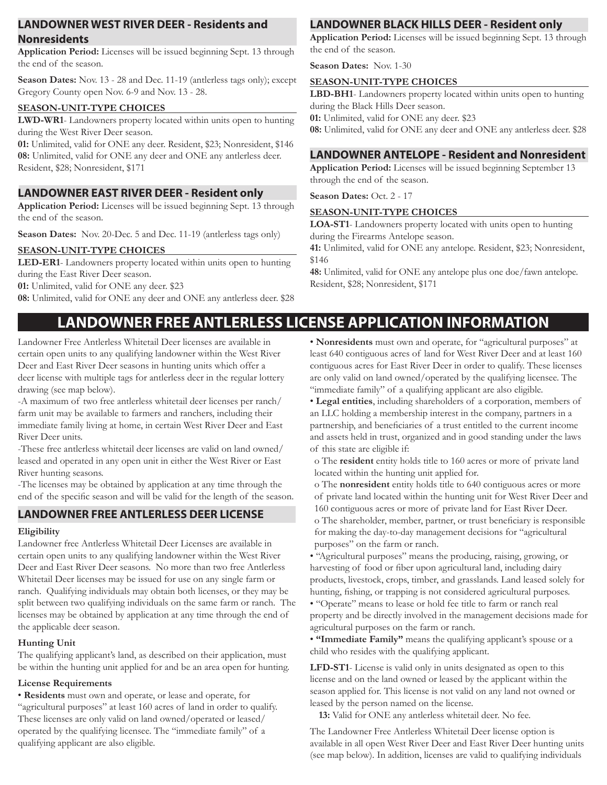### **LANDOWNER WEST RIVER DEER - Residents and Nonresidents**

**Application Period:** Licenses will be issued beginning Sept. 13 through the end of the season.

**Season Dates:** Nov. 13 - 28 and Dec. 11-19 (antlerless tags only); except Gregory County open Nov. 6-9 and Nov. 13 - 28.

#### **SEASON-UNIT-TYPE CHOICES**

**LWD-WR1**- Landowners property located within units open to hunting during the West River Deer season.

**01:** Unlimited, valid for ONE any deer. Resident, \$23; Nonresident, \$146 **08:** Unlimited, valid for ONE any deer and ONE any antlerless deer. Resident, \$28; Nonresident, \$171

### **LANDOWNER EAST RIVER DEER - Resident only**

**Application Period:** Licenses will be issued beginning Sept. 13 through the end of the season.

**Season Dates:** Nov. 20-Dec. 5 and Dec. 11-19 (antlerless tags only)

#### **SEASON-UNIT-TYPE CHOICES**

**LED-ER1**- Landowners property located within units open to hunting during the East River Deer season.

**01:** Unlimited, valid for ONE any deer. \$23

**08:** Unlimited, valid for ONE any deer and ONE any antlerless deer. \$28

## **LANDOWNER BLACK HILLS DEER - Resident only**

**Application Period:** Licenses will be issued beginning Sept. 13 through the end of the season.

**Season Dates:** Nov. 1-30

#### **SEASON-UNIT-TYPE CHOICES**

**LBD-BH1**- Landowners property located within units open to hunting during the Black Hills Deer season.

**01:** Unlimited, valid for ONE any deer. \$23

**08:** Unlimited, valid for ONE any deer and ONE any antlerless deer. \$28

### **LANDOWNER ANTELOPE - Resident and Nonresident**

**Application Period:** Licenses will be issued beginning September 13 through the end of the season.

**Season Dates: Oct. 2 - 17** 

#### **SEASON-UNIT-TYPE CHOICES**

**LOA-ST1**- Landowners property located with units open to hunting during the Firearms Antelope season.

**41:** Unlimited, valid for ONE any antelope. Resident, \$23; Nonresident, \$146

**48:** Unlimited, valid for ONE any antelope plus one doe/fawn antelope. Resident, \$28; Nonresident, \$171

## **LANDOWNER FREE ANTLERLESS LICENSE APPLICATION INFORMATION**

Landowner Free Antlerless Whitetail Deer licenses are available in certain open units to any qualifying landowner within the West River Deer and East River Deer seasons in hunting units which offer a deer license with multiple tags for antlerless deer in the regular lottery drawing (see map below).

-A maximum of two free antlerless whitetail deer licenses per ranch/ farm unit may be available to farmers and ranchers, including their immediate family living at home, in certain West River Deer and East River Deer units.

-These free antlerless whitetail deer licenses are valid on land owned/ leased and operated in any open unit in either the West River or East River hunting seasons.

-The licenses may be obtained by application at any time through the end of the specific season and will be valid for the length of the season.

### **LANDOWNER FREE ANTLERLESS DEER LICENSE**

#### **Eligibility**

Landowner free Antlerless Whitetail Deer Licenses are available in certain open units to any qualifying landowner within the West River Deer and East River Deer seasons. No more than two free Antlerless Whitetail Deer licenses may be issued for use on any single farm or ranch. Qualifying individuals may obtain both licenses, or they may be split between two qualifying individuals on the same farm or ranch. The licenses may be obtained by application at any time through the end of the applicable deer season.

#### **Hunting Unit**

The qualifying applicant's land, as described on their application, must be within the hunting unit applied for and be an area open for hunting.

#### **License Requirements**

• **Residents** must own and operate, or lease and operate, for "agricultural purposes" at least 160 acres of land in order to qualify. These licenses are only valid on land owned/operated or leased/ operated by the qualifying licensee. The "immediate family" of a qualifying applicant are also eligible.

• **Nonresidents** must own and operate, for "agricultural purposes" at least 640 contiguous acres of land for West River Deer and at least 160 contiguous acres for East River Deer in order to qualify. These licenses are only valid on land owned/operated by the qualifying licensee. The "immediate family" of a qualifying applicant are also eligible.

• **Legal entities**, including shareholders of a corporation, members of an LLC holding a membership interest in the company, partners in a partnership, and beneficiaries of a trust entitled to the current income and assets held in trust, organized and in good standing under the laws of this state are eligible if:

o The **resident** entity holds title to 160 acres or more of private land located within the hunting unit applied for.

o The **nonresident** entity holds title to 640 contiguous acres or more of private land located within the hunting unit for West River Deer and 160 contiguous acres or more of private land for East River Deer.

o The shareholder, member, partner, or trust beneficiary is responsible for making the day-to-day management decisions for "agricultural purposes" on the farm or ranch.

• "Agricultural purposes" means the producing, raising, growing, or harvesting of food or fiber upon agricultural land, including dairy products, livestock, crops, timber, and grasslands. Land leased solely for hunting, fishing, or trapping is not considered agricultural purposes.

• "Operate" means to lease or hold fee title to farm or ranch real property and be directly involved in the management decisions made for agricultural purposes on the farm or ranch.

• **"Immediate Family"** means the qualifying applicant's spouse or a child who resides with the qualifying applicant.

**LFD-ST1**- License is valid only in units designated as open to this license and on the land owned or leased by the applicant within the season applied for. This license is not valid on any land not owned or leased by the person named on the license.

**13:** Valid for ONE any antlerless whitetail deer. No fee.

The Landowner Free Antlerless Whitetail Deer license option is available in all open West River Deer and East River Deer hunting units (see map below). In addition, licenses are valid to qualifying individuals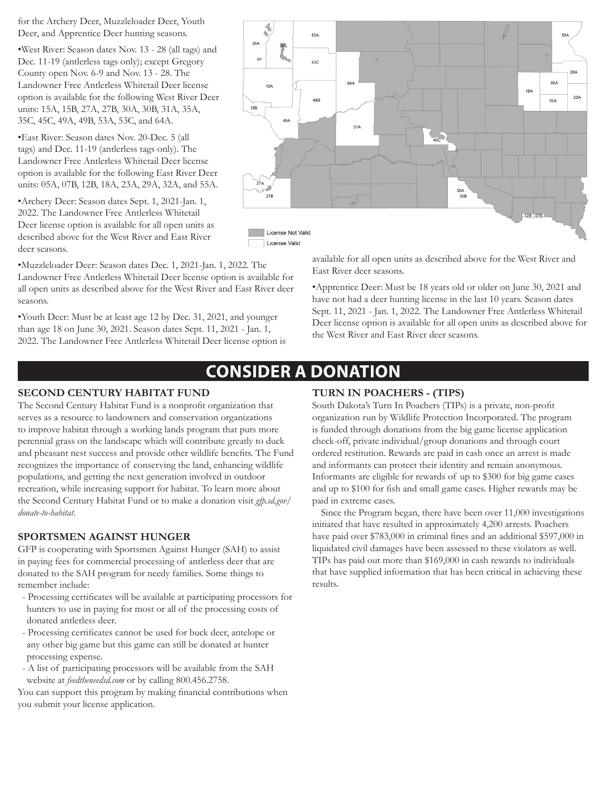for the Archery Deer, Muzzleloader Deer, Youth Deer, and Apprentice Deer hunting seasons.

•West River: Season dates Nov. 13 - 28 (all tags) and Dec. 11-19 (antlerless tags only); except Gregory County open Nov. 6-9 and Nov. 13 - 28. The Landowner Free Antlerless Whitetail Deer license option is available for the following West River Deer units: 15A, 15B, 27A, 27B, 30A, 30B, 31A, 35A, 35C, 45C, 49A, 49B, 53A, 53C, and 64A.

•East River: Season dates Nov. 20-Dec. 5 (all tags) and Dec. 11-19 (antlerless tags only). The Landowner Free Antlerless Whitetail Deer license option is available for the following East River Deer units: 05A, 07B, 12B, 18A, 23A, 29A, 32A, and 55A.

•Archery Deer: Season dates Sept. 1, 2021-Jan. 1, 2022. The Landowner Free Antlerless Whitetail Deer license option is available for all open units as described above for the West River and East River deer seasons.

•Muzzleloader Deer: Season dates Dec. 1, 2021-Jan. 1, 2022. The Landowner Free Antlerless Whitetail Deer license option is available for all open units as described above for the West River and East River deer seasons.

•Youth Deer: Must be at least age 12 by Dec. 31, 2021, and younger than age 18 on June 30, 2021. Season dates Sept. 11, 2021 - Jan. 1, 2022. The Landowner Free Antlerless Whitetail Deer license option is



available for all open units as described above for the West River and East River deer seasons.

•Apprentice Deer: Must be 18 years old or older on June 30, 2021 and have not had a deer hunting license in the last 10 years. Season dates Sept. 11, 2021 - Jan. 1, 2022. The Landowner Free Antlerless Whitetail Deer license option is available for all open units as described above for the West River and East River deer seasons.

## **CONSIDER A DONATION**

### **SECOND CENTURY HABITAT FUND**

The Second Century Habitat Fund is a nonprofit organization that serves as a resource to landowners and conservation organizations to improve habitat through a working lands program that puts more perennial grass on the landscape which will contribute greatly to duck and pheasant nest success and provide other wildlife benefits. The Fund recognizes the importance of conserving the land, enhancing wildlife populations, and getting the next generation involved in outdoor recreation, while increasing support for habitat. To learn more about the Second Century Habitat Fund or to make a donation visit *gfp.sd.gov/ donate-to-habitat*.

### **SPORTSMEN AGAINST HUNGER**

GFP is cooperating with Sportsmen Against Hunger (SAH) to assist in paying fees for commercial processing of antlerless deer that are donated to the SAH program for needy families. Some things to remember include:

- Processing certificates will be available at participating processors for hunters to use in paying for most or all of the processing costs of donated antlerless deer.
- Processing certificates cannot be used for buck deer, antelope or any other big game but this game can still be donated at hunter processing expense.
- A list of participating processors will be available from the SAH website at *feedtheneedsd.com* or by calling 800.456.2758.

You can support this program by making financial contributions when you submit your license application.

## **TURN IN POACHERS - (TIPS)**

South Dakota's Turn In Poachers (TIPs) is a private, non-profit organization run by Wildlife Protection Incorporated. The program is funded through donations from the big game license application check-off, private individual/group donations and through court ordered restitution. Rewards are paid in cash once an arrest is made and informants can protect their identity and remain anonymous. Informants are eligible for rewards of up to \$300 for big game cases and up to \$100 for fish and small game cases. Higher rewards may be paid in extreme cases.

Since the Program began, there have been over 11,000 investigations initiated that have resulted in approximately 4,200 arrests. Poachers have paid over \$783,000 in criminal fines and an additional \$597,000 in liquidated civil damages have been assessed to these violators as well. TIPs has paid out more than \$169,000 in cash rewards to individuals that have supplied information that has been critical in achieving these results.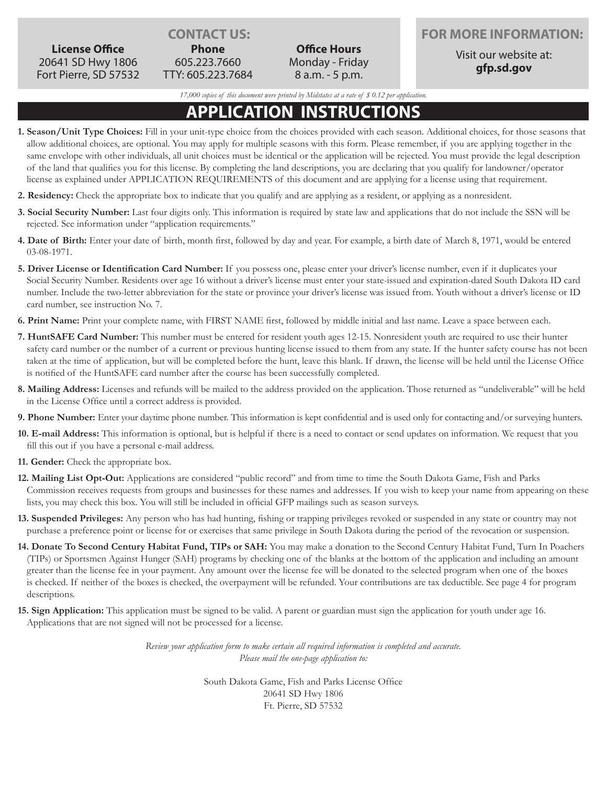**License Office** 20641 SD Hwy 1806 Fort Pierre, SD 57532

**Phone** 605.223.7660 TTY: 605.223.7684

**Office Hours** Monday - Friday 8 a.m. - 5 p.m.

**CONTACT US: FOR MORE INFORMATION:**

Visit our website at: **gfp.sd.gov**

*17,000 copies of this document were printed by Midstates at a rate of \$ 0.12 per application.*

## **APPLICATION INSTRUCTIONS**

- **1. Season/Unit Type Choices:** Fill in your unit-type choice from the choices provided with each season. Additional choices, for those seasons that allow additional choices, are optional. You may apply for multiple seasons with this form. Please remember, if you are applying together in the same envelope with other individuals, all unit choices must be identical or the application will be rejected. You must provide the legal description of the land that qualifies you for this license. By completing the land descriptions, you are declaring that you qualify for landowner/operator license as explained under APPLICATION REQUIREMENTS of this document and are applying for a license using that requirement.
- **2. Residency:** Check the appropriate box to indicate that you qualify and are applying as a resident, or applying as a nonresident.
- **3. Social Security Number:** Last four digits only. This information is required by state law and applications that do not include the SSN will be rejected. See information under "application requirements."
- **4. Date of Birth:** Enter your date of birth, month first, followed by day and year. For example, a birth date of March 8, 1971, would be entered 03-08-1971.
- **5. Driver License or Identification Card Number:** If you possess one, please enter your driver's license number, even if it duplicates your Social Security Number. Residents over age 16 without a driver's license must enter your state-issued and expiration-dated South Dakota ID card number. Include the two-letter abbreviation for the state or province your driver's license was issued from. Youth without a driver's license or ID card number, see instruction No. 7.
- **6. Print Name:** Print your complete name, with FIRST NAME first, followed by middle initial and last name. Leave a space between each.
- **7. HuntSAFE Card Number:** This number must be entered for resident youth ages 12-15. Nonresident youth are required to use their hunter safety card number or the number of a current or previous hunting license issued to them from any state. If the hunter safety course has not been taken at the time of application, but will be completed before the hunt, leave this blank. If drawn, the license will be held until the License Office is notified of the HuntSAFE card number after the course has been successfully completed.
- **8. Mailing Address:** Licenses and refunds will be mailed to the address provided on the application. Those returned as "undeliverable" will be held in the License Office until a correct address is provided.
- **9. Phone Number:** Enter your daytime phone number. This information is kept confidential and is used only for contacting and/or surveying hunters.
- **10. E-mail Address:** This information is optional, but is helpful if there is a need to contact or send updates on information. We request that you fill this out if you have a personal e-mail address.
- **11. Gender:** Check the appropriate box.
- **12. Mailing List Opt-Out:** Applications are considered "public record" and from time to time the South Dakota Game, Fish and Parks Commission receives requests from groups and businesses for these names and addresses. If you wish to keep your name from appearing on these lists, you may check this box. You will still be included in official GFP mailings such as season surveys.
- **13. Suspended Privileges:** Any person who has had hunting, fishing or trapping privileges revoked or suspended in any state or country may not purchase a preference point or license for or exercises that same privilege in South Dakota during the period of the revocation or suspension.
- **14. Donate To Second Century Habitat Fund, TIPs or SAH:** You may make a donation to the Second Century Habitat Fund, Turn In Poachers (TIPs) or Sportsmen Against Hunger (SAH) programs by checking one of the blanks at the bottom of the application and including an amount greater than the license fee in your payment. Any amount over the license fee will be donated to the selected program when one of the boxes is checked. If neither of the boxes is checked, the overpayment will be refunded. Your contributions are tax deductible. See page 4 for program descriptions.
- **15. Sign Application:** This application must be signed to be valid. A parent or guardian must sign the application for youth under age 16. Applications that are not signed will not be processed for a license.

*Review your application form to make certain all required information is completed and accurate. Please mail the one-page application to:*

> South Dakota Game, Fish and Parks License Office 20641 SD Hwy 1806 Ft. Pierre, SD 57532